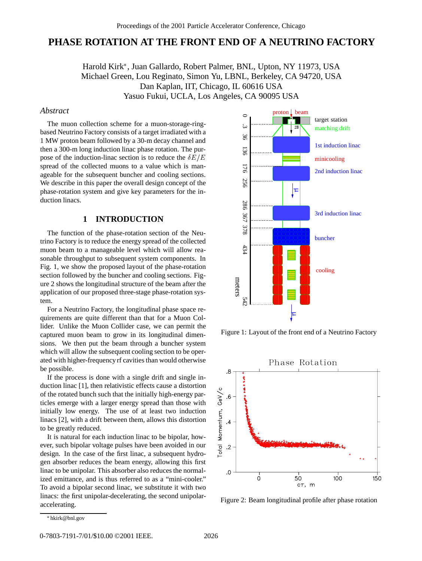# **PHASE ROTATION AT THE FRONT END OF A NEUTRINO FACTORY**

Harold Kirk , Juan Gallardo, Robert Palmer, BNL, Upton, NY 11973, USA Michael Green, Lou Reginato, Simon Yu, LBNL, Berkeley, CA 94720, USA Dan Kaplan, IIT, Chicago, IL 60616 USA Yasuo Fukui, UCLA, Los Angeles, CA 90095 USA

#### *Abstract*

The muon collection scheme for a muon-storage-ringbased Neutrino Factory consists of a target irradiated with a 1 MW proton beam followed by a 30-m decay channel and then a 300-m long induction linac phase rotation. The purpose of the induction-linac section is to reduce the  $\delta E/E$ spread of the collected muons to a value which is manageable for the subsequent buncher and cooling sections. We describe in this paper the overall design concept of the phase-rotation system and give key parameters for the induction linacs.

### **1 INTRODUCTION**

The function of the phase-rotation section of the Neutrino Factory is to reduce the energy spread of the collected muon beam to a manageable level which will allow reasonable throughput to subsequent system components. In Fig. 1, we show the proposed layout of the phase-rotation section followed by the buncher and cooling sections. Figure 2 shows the longitudinal structure of the beam after the application of our proposed three-stage phase-rotation system.

For a Neutrino Factory, the longitudinal phase space requirements are quite different than that for a Muon Collider. Unlike the Muon Collider case, we can permit the captured muon beam to grow in its longitudinal dimensions. We then put the beam through a buncher system which will allow the subsequent cooling section to be operated with higher-frequency rf cavities than would otherwise be possible.

If the process is done with a single drift and single induction linac [1], then relativistic effects cause a distortion of the rotated bunch such that the initially high-energy particles emerge with a larger energy spread than those with initially low energy. The use of at least two induction linacs [2], with a drift between them, allows this distortion to be greatly reduced.

It is natural for each induction linac to be bipolar, however, such bipolar voltage pulses have been avoided in our design. In the case of the first linac, a subsequent hydrogen absorber reduces the beam energy, allowing this first linac to be unipolar. This absorber also reduces the normalized emittance, and is thus referred to as a "mini-cooler." To avoid a bipolar second linac, we substitute it with two linacs: the first unipolar-decelerating, the second unipolaraccelerating.



Figure 1: Layout of the front end of a Neutrino Factory



Figure 2: Beam longitudinal profile after phase rotation

hkirk@bnl.gov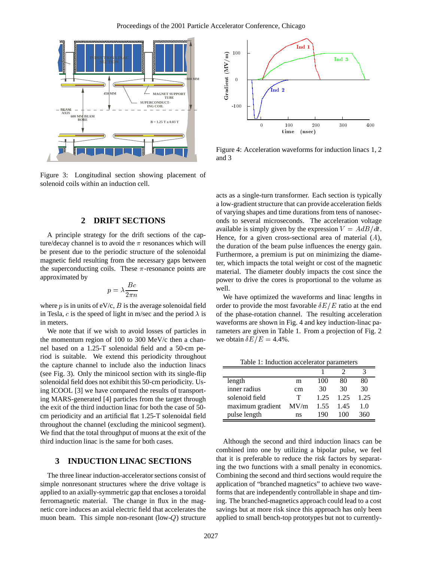

Figure 3: Longitudinal section showing placement of solenoid coils within an induction cell.

#### **2 DRIFT SECTIONS**

A principle strategy for the drift sections of the capture/decay channel is to avoid the  $\pi$  resonances which will be present due to the periodic structure of the solenoidal magnetic field resulting from the necessary gaps between the superconducting coils. These  $\pi$ -resonance points are approximated by

$$
p=\lambda\frac{Bc}{2\pi n}
$$

where p is in units of  $eV/c$ , B is the average solenoidal field in Tesla, c is the speed of light in m/sec and the period  $\lambda$  is in meters.

We note that if we wish to avoid losses of particles in the momentum region of 100 to 300 MeV/c then a channel based on a 1.25-T solenoidal field and a 50-cm period is suitable. We extend this periodicity throughout the capture channel to include also the induction linacs (see Fig. 3). Only the minicool section with its single-flip solenoidal field does not exhibit this 50-cm periodicity. Using ICOOL [3] we have compared the results of transporting MARS-generated [4] particles from the target through the exit of the third induction linac for both the case of 50 cm periodicity and an artificial flat 1.25-T solenoidal field throughout the channel (excluding the minicool segment). We find that the total throughput of muons at the exit of the third induction linac is the same for both cases.

## **3 INDUCTION LINAC SECTIONS**

The three linear induction-accelerator sections consist of simple nonresonant structures where the drive voltage is applied to an axially-symmetric gap that encloses a toroidal ferromagnetic material. The change in flux in the magnetic core induces an axial electric field that accelerates the muon beam. This simple non-resonant (low-Q) structure



Figure 4: Acceleration waveforms for induction linacs 1, 2 and 3

acts as a single-turn transformer. Each section is typically a low-gradient structure that can provide acceleration fields of varying shapes and time durations from tens of nanoseconds to several microseconds. The acceleration voltage available is simply given by the expression  $V = AdB/dt$ . Hence, for a given cross-sectional area of material  $(A)$ , the duration of the beam pulse influences the energy gain. Furthermore, a premium is put on minimizing the diameter, which impacts the total weight or cost of the magnetic material. The diameter doubly impacts the cost since the power to drive the cores is proportional to the volume as well.

We have optimized the waveforms and linac lengths in order to provide the most favorable  $\delta E/E$  ratio at the end of the phase-rotation channel. The resulting acceleration waveforms are shown in Fig. 4 and key induction-linac parameters are given in Table 1. From a projection of Fig. 2 we obtain  $\delta E/E = 4.4\%$ .

Table 1: Induction accelerator parameters

| length           | m    | 100  | 80       | 80   |
|------------------|------|------|----------|------|
| inner radius     | cm   | 30   | 30       | 30   |
| solenoid field   | т    | 1 25 | 1.25     | 1.25 |
| maximum gradient | MV/m | 1.55 | 1.45     | 1.0  |
| pulse length     | ns   | 190  | 1 ( )( ) | 360  |

Although the second and third induction linacs can be combined into one by utilizing a bipolar pulse, we feel that it is preferable to reduce the risk factors by separating the two functions with a small penalty in economics. Combining the second and third sections would require the application of "branched magnetics" to achieve two waveforms that are independently controllable in shape and timing. The branched-magnetics approach could lead to a cost savings but at more risk since this approach has only been applied to small bench-top prototypes but not to currently